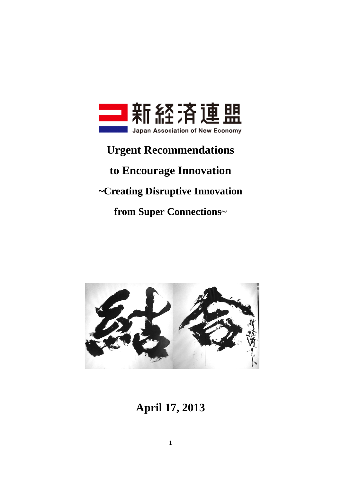

# **Urgent Recommendations**

# **to Encourage Innovation**

## **~Creating Disruptive Innovation**

## **from Super Connections~**



# **April 17, 2013**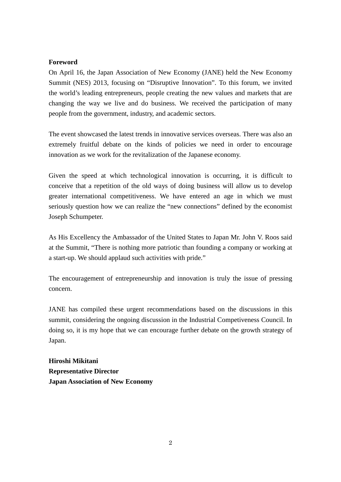## **Foreword**

On April 16, the Japan Association of New Economy (JANE) held the New Economy Summit (NES) 2013, focusing on "Disruptive Innovation". To this forum, we invited the world's leading entrepreneurs, people creating the new values and markets that are changing the way we live and do business. We received the participation of many people from the government, industry, and academic sectors.

The event showcased the latest trends in innovative services overseas. There was also an extremely fruitful debate on the kinds of policies we need in order to encourage innovation as we work for the revitalization of the Japanese economy.

Given the speed at which technological innovation is occurring, it is difficult to conceive that a repetition of the old ways of doing business will allow us to develop greater international competitiveness. We have entered an age in which we must seriously question how we can realize the "new connections" defined by the economist Joseph Schumpeter.

As His Excellency the Ambassador of the United States to Japan Mr. John V. Roos said at the Summit, "There is nothing more patriotic than founding a company or working at a start-up. We should applaud such activities with pride."

The encouragement of entrepreneurship and innovation is truly the issue of pressing concern.

JANE has compiled these urgent recommendations based on the discussions in this summit, considering the ongoing discussion in the Industrial Competiveness Council. In doing so, it is my hope that we can encourage further debate on the growth strategy of Japan.

**Hiroshi Mikitani Representative Director Japan Association of New Economy**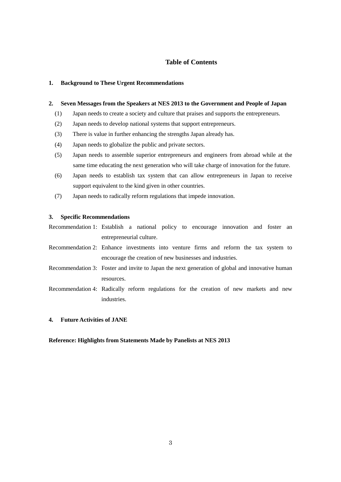## **Table of Contents**

#### **1. Background to These Urgent Recommendations**

#### **2. Seven Messages from the Speakers at NES 2013 to the Government and People of Japan**

- (1) Japan needs to create a society and culture that praises and supports the entrepreneurs.
- (2) Japan needs to develop national systems that support entrepreneurs.
- (3) There is value in further enhancing the strengths Japan already has.
- (4) Japan needs to globalize the public and private sectors.
- (5) Japan needs to assemble superior entrepreneurs and engineers from abroad while at the same time educating the next generation who will take charge of innovation for the future.
- (6) Japan needs to establish tax system that can allow entrepreneurs in Japan to receive support equivalent to the kind given in other countries.
- (7) Japan needs to radically reform regulations that impede innovation.

#### **3. Specific Recommendations**

Recommendation 1: Establish a national policy to encourage innovation and foster an entrepreneurial culture.

- Recommendation 2: Enhance investments into venture firms and reform the tax system to encourage the creation of new businesses and industries.
- Recommendation 3: Foster and invite to Japan the next generation of global and innovative human resources.
- Recommendation 4: Radically reform regulations for the creation of new markets and new industries.

#### **4. Future Activities of JANE**

#### **Reference: Highlights from Statements Made by Panelists at NES 2013**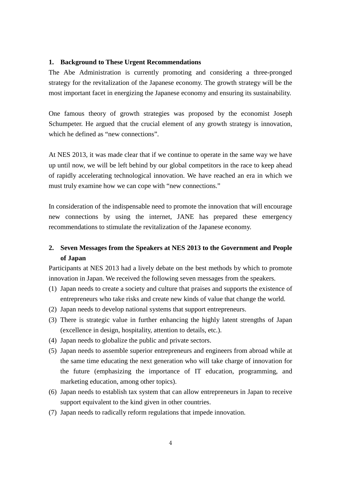### **1. Background to These Urgent Recommendations**

The Abe Administration is currently promoting and considering a three-pronged strategy for the revitalization of the Japanese economy. The growth strategy will be the most important facet in energizing the Japanese economy and ensuring its sustainability.

One famous theory of growth strategies was proposed by the economist Joseph Schumpeter. He argued that the crucial element of any growth strategy is innovation, which he defined as "new connections".

At NES 2013, it was made clear that if we continue to operate in the same way we have up until now, we will be left behind by our global competitors in the race to keep ahead of rapidly accelerating technological innovation. We have reached an era in which we must truly examine how we can cope with "new connections."

In consideration of the indispensable need to promote the innovation that will encourage new connections by using the internet, JANE has prepared these emergency recommendations to stimulate the revitalization of the Japanese economy.

## **2. Seven Messages from the Speakers at NES 2013 to the Government and People of Japan**

Participants at NES 2013 had a lively debate on the best methods by which to promote innovation in Japan. We received the following seven messages from the speakers.

- (1) Japan needs to create a society and culture that praises and supports the existence of entrepreneurs who take risks and create new kinds of value that change the world.
- (2) Japan needs to develop national systems that support entrepreneurs.
- (3) There is strategic value in further enhancing the highly latent strengths of Japan (excellence in design, hospitality, attention to details, etc.).
- (4) Japan needs to globalize the public and private sectors.
- (5) Japan needs to assemble superior entrepreneurs and engineers from abroad while at the same time educating the next generation who will take charge of innovation for the future (emphasizing the importance of IT education, programming, and marketing education, among other topics).
- (6) Japan needs to establish tax system that can allow entrepreneurs in Japan to receive support equivalent to the kind given in other countries.
- (7) Japan needs to radically reform regulations that impede innovation.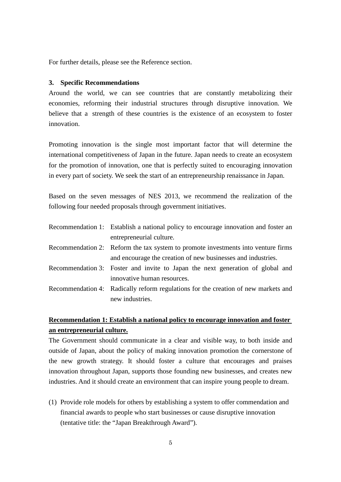For further details, please see the Reference section.

#### **3. Specific Recommendations**

Around the world, we can see countries that are constantly metabolizing their economies, reforming their industrial structures through disruptive innovation. We believe that a strength of these countries is the existence of an ecosystem to foster innovation.

Promoting innovation is the single most important factor that will determine the international competitiveness of Japan in the future. Japan needs to create an ecosystem for the promotion of innovation, one that is perfectly suited to encouraging innovation in every part of society. We seek the start of an entrepreneurship renaissance in Japan.

Based on the seven messages of NES 2013, we recommend the realization of the following four needed proposals through government initiatives.

- Recommendation 1: Establish a national policy to encourage innovation and foster an entrepreneurial culture.
- Recommendation 2: Reform the tax system to promote investments into venture firms and encourage the creation of new businesses and industries.
- Recommendation 3: Foster and invite to Japan the next generation of global and innovative human resources.
- Recommendation 4: Radically reform regulations for the creation of new markets and new industries.

## **Recommendation 1: Establish a national policy to encourage innovation and foster an entrepreneurial culture.**

The Government should communicate in a clear and visible way, to both inside and outside of Japan, about the policy of making innovation promotion the cornerstone of the new growth strategy. It should foster a culture that encourages and praises innovation throughout Japan, supports those founding new businesses, and creates new industries. And it should create an environment that can inspire young people to dream.

(1) Provide role models for others by establishing a system to offer commendation and financial awards to people who start businesses or cause disruptive innovation (tentative title: the "Japan Breakthrough Award").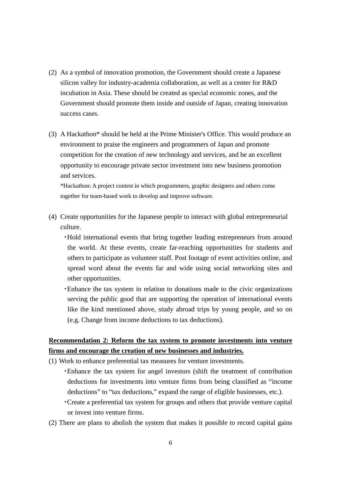- (2) As a symbol of innovation promotion, the Government should create a Japanese silicon valley for industry-academia collaboration, as well as a center for R&D incubation in Asia. These should be created as special economic zones, and the Government should promote them inside and outside of Japan, creating innovation success cases.
- (3) A Hackathon\* should be held at the Prime Minister's Office. This would produce an environment to praise the engineers and programmers of Japan and promote competition for the creation of new technology and services, and be an excellent opportunity to encourage private sector investment into new business promotion and services.

\*Hackathon: A project contest in which programmers, graphic designers and others come together for team-based work to develop and improve software.

(4) Create opportunities for the Japanese people to interact with global entrepreneurial culture.

・Hold international events that bring together leading entrepreneurs from around the world. At these events, create far-reaching opportunities for students and others to participate as volunteer staff. Post footage of event activities online, and spread word about the events far and wide using social networking sites and other opportunities.

・Enhance the tax system in relation to donations made to the civic organizations serving the public good that are supporting the operation of international events like the kind mentioned above, study abroad trips by young people, and so on (e.g. Change from income deductions to tax deductions).

## **Recommendation 2: Reform the tax system to promote investments into venture firms and encourage the creation of new businesses and industries.**

- (1) Work to enhance preferential tax measures for venture investments.
	- ・Enhance the tax system for angel investors (shift the treatment of contribution deductions for investments into venture firms from being classified as "income deductions" to "tax deductions," expand the range of eligible businesses, etc.).
	- ・Create a preferential tax system for groups and others that provide venture capital or invest into venture firms.
- (2) There are plans to abolish the system that makes it possible to record capital gains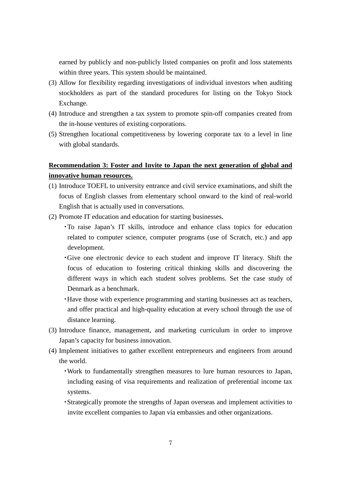earned by publicly and non-publicly listed companies on profit and loss statements within three years. This system should be maintained.

- (3) Allow for flexibility regarding investigations of individual investors when auditing stockholders as part of the standard procedures for listing on the Tokyo Stock Exchange.
- (4) Introduce and strengthen a tax system to promote spin-off companies created from the in-house ventures of existing corporations.
- (5) Strengthen locational competitiveness by lowering corporate tax to a level in line with global standards.

## **Recommendation 3: Foster and Invite to Japan the next generation of global and innovative human resources.**

- (1) Introduce TOEFL to university entrance and civil service examinations, and shift the focus of English classes from elementary school onward to the kind of real-world English that is actually used in conversations.
- (2) Promote IT education and education for starting businesses.
	- ・To raise Japan's IT skills, introduce and enhance class topics for education related to computer science, computer programs (use of Scratch, etc.) and app development.
	- ・Give one electronic device to each student and improve IT literacy. Shift the focus of education to fostering critical thinking skills and discovering the different ways in which each student solves problems. Set the case study of Denmark as a benchmark.
	- ・Have those with experience programming and starting businesses act as teachers, and offer practical and high-quality education at every school through the use of distance learning.
- (3) Introduce finance, management, and marketing curriculum in order to improve Japan's capacity for business innovation.
- (4) Implement initiatives to gather excellent entrepreneurs and engineers from around the world.
	- ・Work to fundamentally strengthen measures to lure human resources to Japan, including easing of visa requirements and realization of preferential income tax systems.
	- ・Strategically promote the strengths of Japan overseas and implement activities to invite excellent companies to Japan via embassies and other organizations.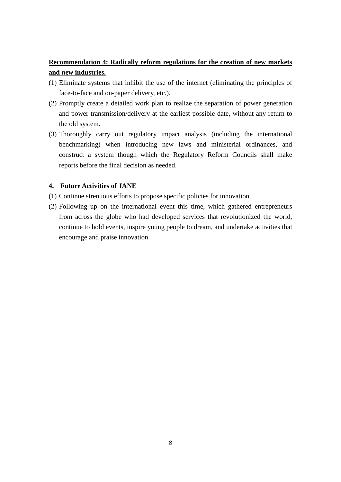## **Recommendation 4: Radically reform regulations for the creation of new markets and new industries.**

- (1) Eliminate systems that inhibit the use of the internet (eliminating the principles of face-to-face and on-paper delivery, etc.).
- (2) Promptly create a detailed work plan to realize the separation of power generation and power transmission/delivery at the earliest possible date, without any return to the old system.
- (3) Thoroughly carry out regulatory impact analysis (including the international benchmarking) when introducing new laws and ministerial ordinances, and construct a system though which the Regulatory Reform Councils shall make reports before the final decision as needed.

## **4. Future Activities of JANE**

- (1) Continue strenuous efforts to propose specific policies for innovation.
- (2) Following up on the international event this time, which gathered entrepreneurs from across the globe who had developed services that revolutionized the world, continue to hold events, inspire young people to dream, and undertake activities that encourage and praise innovation.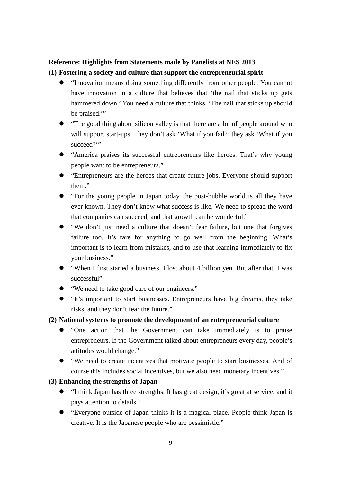## **Reference: Highlights from Statements made by Panelists at NES 2013**

## **(1) Fostering a society and culture that support the entrepreneurial spirit**

- "Innovation means doing something differently from other people. You cannot have innovation in a culture that believes that 'the nail that sticks up gets hammered down.' You need a culture that thinks, 'The nail that sticks up should be praised."
- "The good thing about silicon valley is that there are a lot of people around who will support start-ups. They don't ask 'What if you fail?' they ask 'What if you succeed?"
- "America praises its successful entrepreneurs like heroes. That's why young people want to be entrepreneurs."
- "Entrepreneurs are the heroes that create future jobs. Everyone should support them."
- "For the young people in Japan today, the post-bubble world is all they have ever known. They don't know what success is like. We need to spread the word that companies can succeed, and that growth can be wonderful."
- "We don't just need a culture that doesn't fear failure, but one that forgives failure too. It's rare for anything to go well from the beginning. What's important is to learn from mistakes, and to use that learning immediately to fix your business."
- "When I first started a business, I lost about 4 billion yen. But after that, I was successful"
- "We need to take good care of our engineers."
- "It's important to start businesses. Entrepreneurs have big dreams, they take risks, and they don't fear the future."

## **(2) National systems to promote the development of an entrepreneurial culture**

- "One action that the Government can take immediately is to praise entrepreneurs. If the Government talked about entrepreneurs every day, people's attitudes would change."
- "We need to create incentives that motivate people to start businesses. And of course this includes social incentives, but we also need monetary incentives."

## **(3) Enhancing the strengths of Japan**

- "I think Japan has three strengths. It has great design, it's great at service, and it pays attention to details."
- "Everyone outside of Japan thinks it is a magical place. People think Japan is creative. It is the Japanese people who are pessimistic."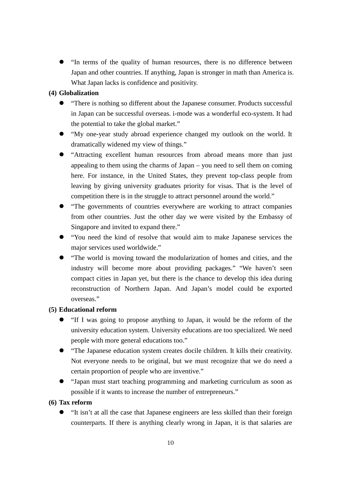"In terms of the quality of human resources, there is no difference between Japan and other countries. If anything, Japan is stronger in math than America is. What Japan lacks is confidence and positivity.

## **(4) Globalization**

- "There is nothing so different about the Japanese consumer. Products successful in Japan can be successful overseas. i-mode was a wonderful eco-system. It had the potential to take the global market."
- "My one-year study abroad experience changed my outlook on the world. It dramatically widened my view of things."
- "Attracting excellent human resources from abroad means more than just appealing to them using the charms of Japan – you need to sell them on coming here. For instance, in the United States, they prevent top-class people from leaving by giving university graduates priority for visas. That is the level of competition there is in the struggle to attract personnel around the world."
- "The governments of countries everywhere are working to attract companies from other countries. Just the other day we were visited by the Embassy of Singapore and invited to expand there."
- "You need the kind of resolve that would aim to make Japanese services the major services used worldwide."
- "The world is moving toward the modularization of homes and cities, and the industry will become more about providing packages." "We haven't seen compact cities in Japan yet, but there is the chance to develop this idea during reconstruction of Northern Japan. And Japan's model could be exported overseas."

## **(5) Educational reform**

- "If I was going to propose anything to Japan, it would be the reform of the university education system. University educations are too specialized. We need people with more general educations too."
- "The Japanese education system creates docile children. It kills their creativity. Not everyone needs to be original, but we must recognize that we do need a certain proportion of people who are inventive."
- "Japan must start teaching programming and marketing curriculum as soon as possible if it wants to increase the number of entrepreneurs."

## **(6) Tax reform**

 "It isn't at all the case that Japanese engineers are less skilled than their foreign counterparts. If there is anything clearly wrong in Japan, it is that salaries are